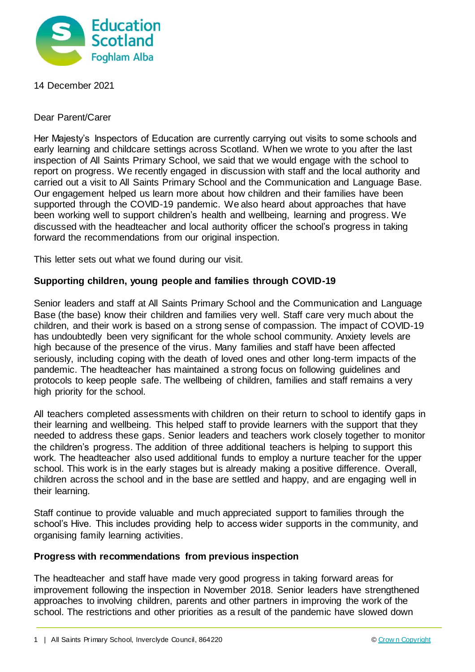

14 December 2021

Dear Parent/Carer

Her Majesty's Inspectors of Education are currently carrying out visits to some schools and early learning and childcare settings across Scotland. When we wrote to you after the last inspection of All Saints Primary School, we said that we would engage with the school to report on progress. We recently engaged in discussion with staff and the local authority and carried out a visit to All Saints Primary School and the Communication and Language Base. Our engagement helped us learn more about how children and their families have been supported through the COVID-19 pandemic. We also heard about approaches that have been working well to support children's health and wellbeing, learning and progress. We discussed with the headteacher and local authority officer the school's progress in taking forward the recommendations from our original inspection.

This letter sets out what we found during our visit.

## **Supporting children, young people and families through COVID-19**

Senior leaders and staff at All Saints Primary School and the Communication and Language Base (the base) know their children and families very well. Staff care very much about the children, and their work is based on a strong sense of compassion. The impact of COVID-19 has undoubtedly been very significant for the whole school community. Anxiety levels are high because of the presence of the virus. Many families and staff have been affected seriously, including coping with the death of loved ones and other long-term impacts of the pandemic. The headteacher has maintained a strong focus on following guidelines and protocols to keep people safe. The wellbeing of children, families and staff remains a very high priority for the school.

All teachers completed assessments with children on their return to school to identify gaps in their learning and wellbeing. This helped staff to provide learners with the support that they needed to address these gaps. Senior leaders and teachers work closely together to monitor the children's progress. The addition of three additional teachers is helping to support this work. The headteacher also used additional funds to employ a nurture teacher for the upper school. This work is in the early stages but is already making a positive difference. Overall, children across the school and in the base are settled and happy, and are engaging well in their learning.

Staff continue to provide valuable and much appreciated support to families through the school's Hive. This includes providing help to access wider supports in the community, and organising family learning activities.

## **Progress with recommendations from previous inspection**

The headteacher and staff have made very good progress in taking forward areas for improvement following the inspection in November 2018. Senior leaders have strengthened approaches to involving children, parents and other partners in improving the work of the school. The restrictions and other priorities as a result of the pandemic have slowed down